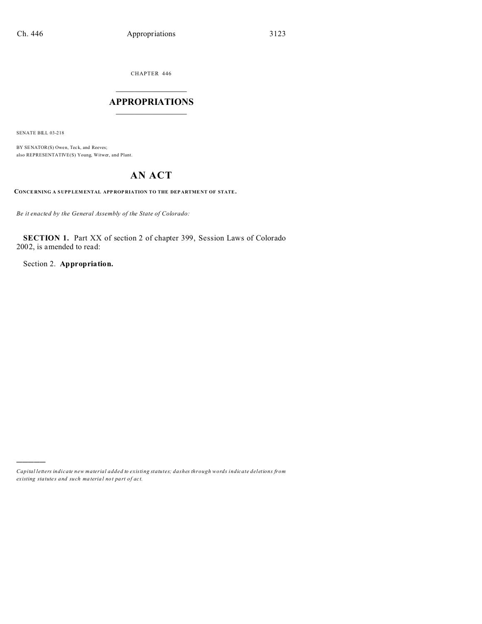CHAPTER 446  $\overline{\phantom{a}}$  , where  $\overline{\phantom{a}}$ 

### **APPROPRIATIONS**  $\_$   $\_$   $\_$   $\_$   $\_$   $\_$   $\_$   $\_$

SENATE BILL 03-218

)))))

BY SENATOR(S) Owen, Teck, and Reeves; also REPRESENTATIVE(S) Young, Witwer, and Plant.

# **AN ACT**

**CONCE RNING A S UPP LEM ENTAL APP ROP RIATION TO THE DEP ARTME NT OF STATE.**

*Be it enacted by the General Assembly of the State of Colorado:*

**SECTION 1.** Part XX of section 2 of chapter 399, Session Laws of Colorado 2002, is amended to read:

Section 2. **Appropriation.**

*Capital letters indicate new material added to existing statutes; dashes through words indicate deletions from ex isting statute s and such ma teria l no t pa rt of ac t.*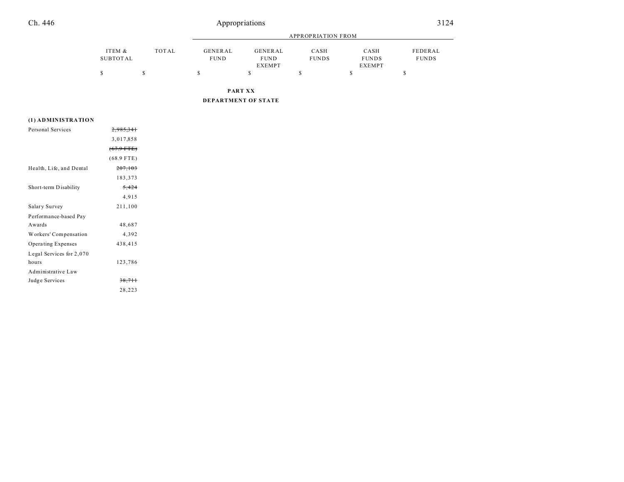## Ch. 446 Appropriations 3124

|          |       |                | APPROPRIATION FROM |              |               |              |  |
|----------|-------|----------------|--------------------|--------------|---------------|--------------|--|
| ITEM &   | TOTAL | <b>GENERAL</b> | GENERAL            | CASH         | CASH          | FEDERAL      |  |
| SUBTOTAL |       | <b>FUND</b>    | <b>FUND</b>        | <b>FUNDS</b> | <b>FUNDS</b>  | <b>FUNDS</b> |  |
|          |       |                | <b>EXEMPT</b>      |              | <b>EXEMPT</b> |              |  |
|          |       |                |                    |              |               | - CD         |  |

**PART XX**

**DEPARTMENT OF STATE**

#### **(1) ADMINISTRATION**

| Personal Services        | 2.985.341            |  |
|--------------------------|----------------------|--|
|                          | 3,017,858            |  |
|                          | $(67.9 \text{ FTE})$ |  |
|                          | $(68.9$ FTE)         |  |
| Health, Life, and Dental | 207,103              |  |
|                          | 183,373              |  |
| Short-term Disability    | 5,424                |  |
|                          | 4,915                |  |
| Salary Survey            | 211,100              |  |
| Performance-based Pay    |                      |  |
| Awards                   | 48,687               |  |
| Workers' Compensation    | 4,392                |  |
| Operating Expenses       | 438,415              |  |
| Legal Services for 2,070 |                      |  |
| hours                    | 123,786              |  |
| Administrative Law       |                      |  |
| Judge Services           | 38,711               |  |
|                          | 28,223               |  |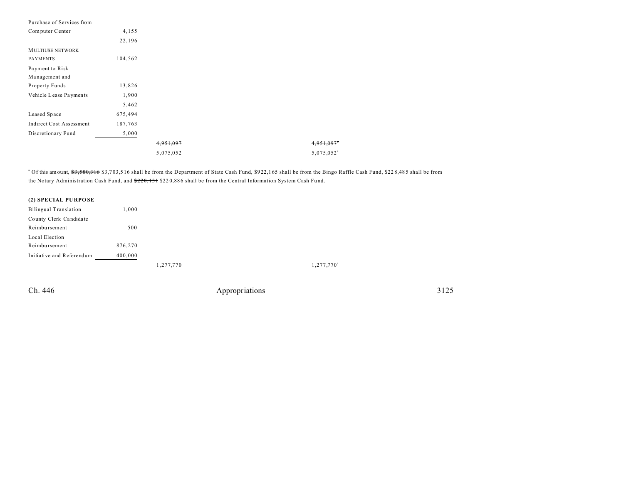| Purchase of Services from       |         |           |                        |
|---------------------------------|---------|-----------|------------------------|
| Computer Center                 | 4,155   |           |                        |
|                                 | 22,196  |           |                        |
| <b>MULTIUSE NETWORK</b>         |         |           |                        |
| <b>PAYMENTS</b>                 | 104,562 |           |                        |
| Payment to Risk                 |         |           |                        |
| Management and                  |         |           |                        |
| Property Funds                  | 13,826  |           |                        |
| Vehicle Lease Payments          | 1,900   |           |                        |
|                                 | 5,462   |           |                        |
| Leased Space                    | 675,494 |           |                        |
| <b>Indirect Cost Assessment</b> | 187,763 |           |                        |
| Discretionary Fund              | 5,000   |           |                        |
|                                 |         | 4,951,097 |                        |
|                                 |         | 5,075,052 | 5,075,052 <sup>a</sup> |

<sup>a</sup> Of this amount, <del>\$3,580,316</del> \$3,703,516 shall be from the Department of State Cash Fund, \$922,165 shall be from the Bingo Raffle Cash Fund, \$22 8,485 shall be from the Notary Administration Cash Fund, and \$220,131 \$220,886 shall be from the Central Information System Cash Fund.

#### **(2) SPECIAL PU RPO SE**

| <b>Bilingual Translation</b> | 1.000     |                     |
|------------------------------|-----------|---------------------|
| County Clerk Candidate       |           |                     |
| Reimbursement                | 500       |                     |
| Local Election               |           |                     |
| Reimbursement                | 876,270   |                     |
| Initiative and Referendum    | 400,000   |                     |
|                              | 1,277,770 | $1,277,770^{\circ}$ |

Ch. 446 Appropriations 3125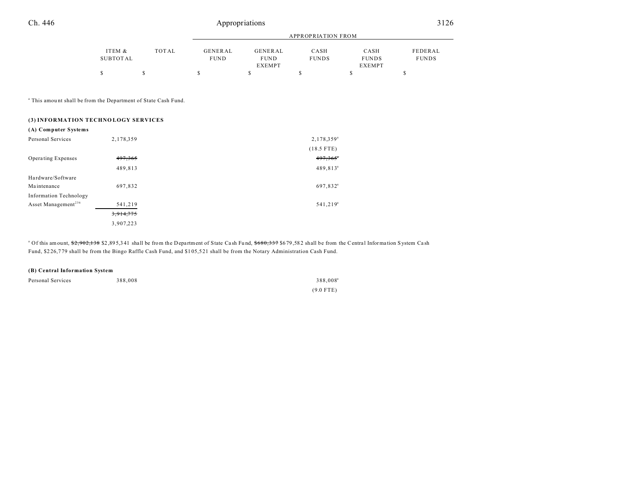### Appropriations

|                                                                                                                                          |                           |       | <b>APPROPRIATION FROM</b> |                                         |                      |                                       |                         |
|------------------------------------------------------------------------------------------------------------------------------------------|---------------------------|-------|---------------------------|-----------------------------------------|----------------------|---------------------------------------|-------------------------|
|                                                                                                                                          | ITEM &<br><b>SUBTOTAL</b> | TOTAL | GENERAL<br><b>FUND</b>    | GENERAL<br><b>FUND</b><br><b>EXEMPT</b> | CASH<br><b>FUNDS</b> | CASH<br><b>FUNDS</b><br><b>EXEMPT</b> | FEDERAL<br><b>FUNDS</b> |
|                                                                                                                                          | \$                        | \$    | \$                        | \$                                      | $\mathbb{S}$         | \$                                    | \$                      |
| <sup>a</sup> This amount shall be from the Department of State Cash Fund.<br>(3) INFORMATION TECHNOLOGY SERVICES<br>(A) Computer Systems |                           |       |                           |                                         |                      |                                       |                         |
| Personal Services                                                                                                                        | 2,178,359                 |       |                           |                                         | $2,178,359^{\circ}$  |                                       |                         |
|                                                                                                                                          |                           |       |                           |                                         | $(18.5$ FTE)         |                                       |                         |
| Operating Expenses                                                                                                                       | 497,365                   |       |                           |                                         | 497,365              |                                       |                         |
|                                                                                                                                          | 489,813                   |       |                           |                                         | $489,813^a$          |                                       |                         |
| Hardware/Software                                                                                                                        |                           |       |                           |                                         |                      |                                       |                         |

| Hardware/Software<br>Maintenance                                 | 697,832              |
|------------------------------------------------------------------|----------------------|
| <b>Information Technology</b><br>Asset Management <sup>236</sup> |                      |
|                                                                  | 541,219<br>3,914,775 |
|                                                                  | 3,907,223            |

<sup>a</sup> Of this amount, \$2,902,138 \$2,895,341 shall be from the Department of State Cash Fund, \$680,337 \$679,582 shall be from the Central Information System Cash Fund, \$226,779 shall be from the Bingo Raffle Cash Fund, and \$105,521 shall be from the Notary Administration Cash Fund.

| (B) Central Information System |         |                      |  |  |
|--------------------------------|---------|----------------------|--|--|
| Personal Services              | 388,008 | 388.008 <sup>a</sup> |  |  |
|                                |         | $(9.0$ FTE)          |  |  |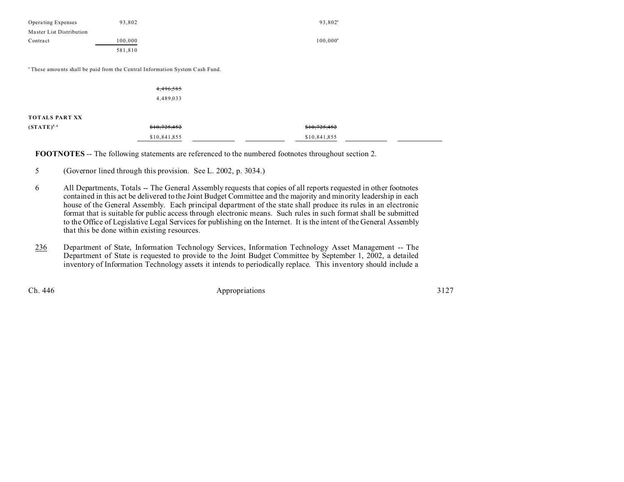| <b>Operating Expenses</b> | 93.802  | 93.802 <sup>a</sup> |
|---------------------------|---------|---------------------|
| Master List Distribution  |         |                     |
| Contract                  | 100,000 | $100.000^a$         |
|                           | 581.810 |                     |

<sup>a</sup>These amounts shall be paid from the Central Information System Cash Fund.

|                 | 4,496,585    |              |  |
|-----------------|--------------|--------------|--|
|                 | 4,489,033    |              |  |
|                 |              |              |  |
| TOTALS PART XX  |              |              |  |
| $(STATE)^{5,6}$ | \$10,725,452 | \$10,725,452 |  |
|                 | \$10,841,855 | \$10,841,855 |  |

**FOOTNOTES** -- The following statements are referenced to the numbered footnotes throughout section 2.

- 5 (Governor lined through this provision. See L. 2002, p. 3034.)
- 6 All Departments, Totals -- The General Assembly requests that copies of all reports requested in other footnotes contained in this act be delivered to the Joint Budget Committee and the majority and minority leadership in each house of the General Assembly. Each principal department of the state shall produce its rules in an electronic format that is suitable for public access through electronic means. Such rules in such format shall be submitted to the Office of Legislative Legal Services for publishing on the Internet. It is the intent of the General Assembly that this be done within existing resources.
- 236 Department of State, Information Technology Services, Information Technology Asset Management -- The Department of State is requested to provide to the Joint Budget Committee by September 1, 2002, a detailed inventory of Information Technology assets it intends to periodically replace. This inventory should include a

Ch. 446 **Appropriations** 3127